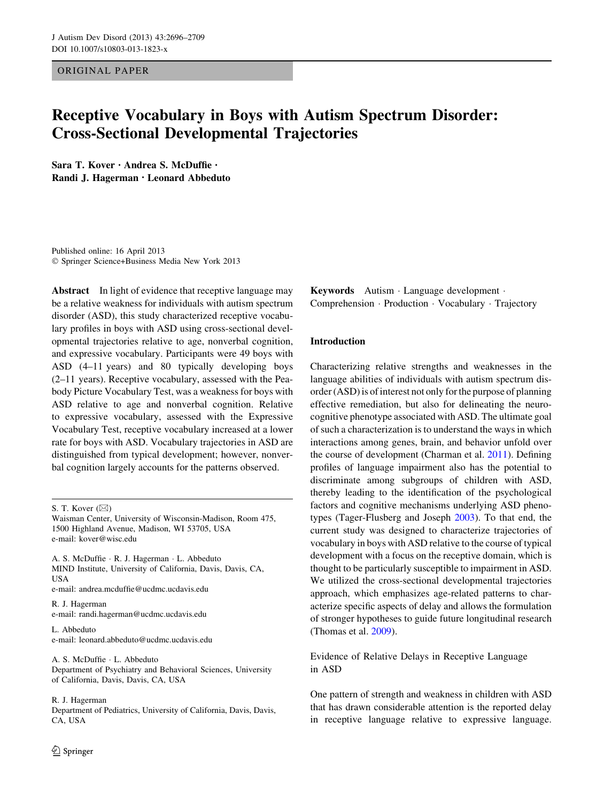ORIGINAL PAPER

# Receptive Vocabulary in Boys with Autism Spectrum Disorder: Cross-Sectional Developmental Trajectories

Sara T. Kover • Andrea S. McDuffie • Randi J. Hagerman • Leonard Abbeduto

Published online: 16 April 2013 - Springer Science+Business Media New York 2013

Abstract In light of evidence that receptive language may be a relative weakness for individuals with autism spectrum disorder (ASD), this study characterized receptive vocabulary profiles in boys with ASD using cross-sectional developmental trajectories relative to age, nonverbal cognition, and expressive vocabulary. Participants were 49 boys with ASD (4–11 years) and 80 typically developing boys (2–11 years). Receptive vocabulary, assessed with the Peabody Picture Vocabulary Test, was a weakness for boys with ASD relative to age and nonverbal cognition. Relative to expressive vocabulary, assessed with the Expressive Vocabulary Test, receptive vocabulary increased at a lower rate for boys with ASD. Vocabulary trajectories in ASD are distinguished from typical development; however, nonverbal cognition largely accounts for the patterns observed.

S. T. Kover  $(\boxtimes)$ 

A. S. McDuffie - R. J. Hagerman - L. Abbeduto MIND Institute, University of California, Davis, Davis, CA, USA e-mail: andrea.mcduffie@ucdmc.ucdavis.edu

R. J. Hagerman e-mail: randi.hagerman@ucdmc.ucdavis.edu

L. Abbeduto e-mail: leonard.abbeduto@ucdmc.ucdavis.edu

A. S. McDuffie - L. Abbeduto Department of Psychiatry and Behavioral Sciences, University of California, Davis, Davis, CA, USA

R. J. Hagerman

Department of Pediatrics, University of California, Davis, Davis, CA, USA

Keywords Autism - Language development - Comprehension - Production - Vocabulary - Trajectory

### Introduction

Characterizing relative strengths and weaknesses in the language abilities of individuals with autism spectrum disorder (ASD) is of interest not only for the purpose of planning effective remediation, but also for delineating the neurocognitive phenotype associated with ASD. The ultimate goal of such a characterization is to understand the ways in which interactions among genes, brain, and behavior unfold over the course of development (Charman et al. [2011\)](#page-11-0). Defining profiles of language impairment also has the potential to discriminate among subgroups of children with ASD, thereby leading to the identification of the psychological factors and cognitive mechanisms underlying ASD phenotypes (Tager-Flusberg and Joseph [2003](#page-12-0)). To that end, the current study was designed to characterize trajectories of vocabulary in boys with ASD relative to the course of typical development with a focus on the receptive domain, which is thought to be particularly susceptible to impairment in ASD. We utilized the cross-sectional developmental trajectories approach, which emphasizes age-related patterns to characterize specific aspects of delay and allows the formulation of stronger hypotheses to guide future longitudinal research (Thomas et al. [2009](#page-12-0)).

Evidence of Relative Delays in Receptive Language in ASD

One pattern of strength and weakness in children with ASD that has drawn considerable attention is the reported delay in receptive language relative to expressive language.

Waisman Center, University of Wisconsin-Madison, Room 475, 1500 Highland Avenue, Madison, WI 53705, USA e-mail: kover@wisc.edu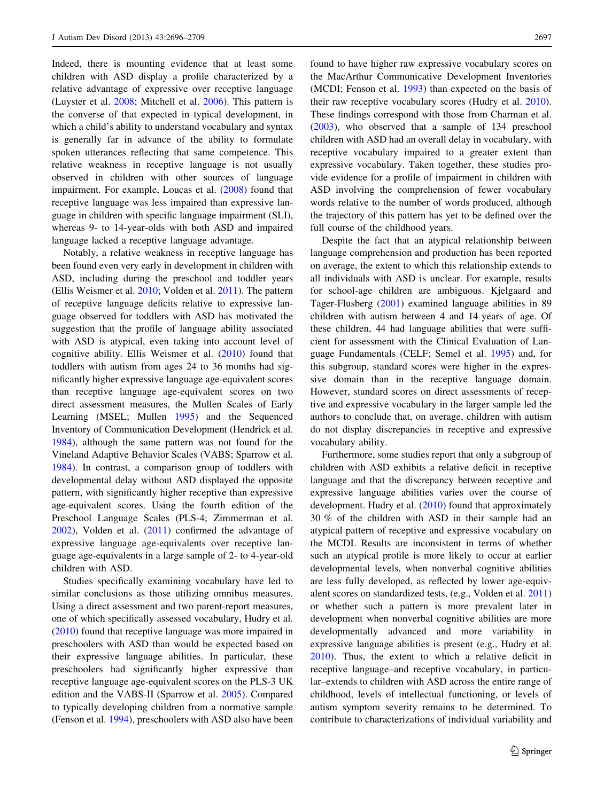Indeed, there is mounting evidence that at least some children with ASD display a profile characterized by a relative advantage of expressive over receptive language (Luyster et al. [2008](#page-12-0); Mitchell et al. [2006](#page-12-0)). This pattern is the converse of that expected in typical development, in which a child's ability to understand vocabulary and syntax is generally far in advance of the ability to formulate spoken utterances reflecting that same competence. This relative weakness in receptive language is not usually observed in children with other sources of language impairment. For example, Loucas et al. [\(2008](#page-12-0)) found that receptive language was less impaired than expressive language in children with specific language impairment (SLI), whereas 9- to 14-year-olds with both ASD and impaired language lacked a receptive language advantage.

Notably, a relative weakness in receptive language has been found even very early in development in children with ASD, including during the preschool and toddler years (Ellis Weismer et al. [2010;](#page-12-0) Volden et al. [2011\)](#page-13-0). The pattern of receptive language deficits relative to expressive language observed for toddlers with ASD has motivated the suggestion that the profile of language ability associated with ASD is atypical, even taking into account level of cognitive ability. Ellis Weismer et al. [\(2010](#page-12-0)) found that toddlers with autism from ages 24 to 36 months had significantly higher expressive language age-equivalent scores than receptive language age-equivalent scores on two direct assessment measures, the Mullen Scales of Early Learning (MSEL; Mullen [1995](#page-12-0)) and the Sequenced Inventory of Communication Development (Hendrick et al. [1984\)](#page-12-0), although the same pattern was not found for the Vineland Adaptive Behavior Scales (VABS; Sparrow et al. [1984\)](#page-12-0). In contrast, a comparison group of toddlers with developmental delay without ASD displayed the opposite pattern, with significantly higher receptive than expressive age-equivalent scores. Using the fourth edition of the Preschool Language Scales (PLS-4; Zimmerman et al. [2002\)](#page-13-0), Volden et al. [\(2011](#page-13-0)) confirmed the advantage of expressive language age-equivalents over receptive language age-equivalents in a large sample of 2- to 4-year-old children with ASD.

Studies specifically examining vocabulary have led to similar conclusions as those utilizing omnibus measures. Using a direct assessment and two parent-report measures, one of which specifically assessed vocabulary, Hudry et al. [\(2010](#page-12-0)) found that receptive language was more impaired in preschoolers with ASD than would be expected based on their expressive language abilities. In particular, these preschoolers had significantly higher expressive than receptive language age-equivalent scores on the PLS-3 UK edition and the VABS-II (Sparrow et al. [2005](#page-12-0)). Compared to typically developing children from a normative sample (Fenson et al. [1994](#page-12-0)), preschoolers with ASD also have been

found to have higher raw expressive vocabulary scores on the MacArthur Communicative Development Inventories (MCDI; Fenson et al. [1993](#page-12-0)) than expected on the basis of their raw receptive vocabulary scores (Hudry et al. [2010](#page-12-0)). These findings correspond with those from Charman et al. [\(2003](#page-11-0)), who observed that a sample of 134 preschool children with ASD had an overall delay in vocabulary, with receptive vocabulary impaired to a greater extent than expressive vocabulary. Taken together, these studies provide evidence for a profile of impairment in children with ASD involving the comprehension of fewer vocabulary words relative to the number of words produced, although the trajectory of this pattern has yet to be defined over the full course of the childhood years.

Despite the fact that an atypical relationship between language comprehension and production has been reported on average, the extent to which this relationship extends to all individuals with ASD is unclear. For example, results for school-age children are ambiguous. Kjelgaard and Tager-Flusberg [\(2001](#page-12-0)) examined language abilities in 89 children with autism between 4 and 14 years of age. Of these children, 44 had language abilities that were sufficient for assessment with the Clinical Evaluation of Language Fundamentals (CELF; Semel et al. [1995\)](#page-12-0) and, for this subgroup, standard scores were higher in the expressive domain than in the receptive language domain. However, standard scores on direct assessments of receptive and expressive vocabulary in the larger sample led the authors to conclude that, on average, children with autism do not display discrepancies in receptive and expressive vocabulary ability.

Furthermore, some studies report that only a subgroup of children with ASD exhibits a relative deficit in receptive language and that the discrepancy between receptive and expressive language abilities varies over the course of development. Hudry et al. ([2010\)](#page-12-0) found that approximately 30 % of the children with ASD in their sample had an atypical pattern of receptive and expressive vocabulary on the MCDI. Results are inconsistent in terms of whether such an atypical profile is more likely to occur at earlier developmental levels, when nonverbal cognitive abilities are less fully developed, as reflected by lower age-equivalent scores on standardized tests, (e.g., Volden et al. [2011\)](#page-13-0) or whether such a pattern is more prevalent later in development when nonverbal cognitive abilities are more developmentally advanced and more variability in expressive language abilities is present (e.g., Hudry et al. [2010](#page-12-0)). Thus, the extent to which a relative deficit in receptive language–and receptive vocabulary, in particular–extends to children with ASD across the entire range of childhood, levels of intellectual functioning, or levels of autism symptom severity remains to be determined. To contribute to characterizations of individual variability and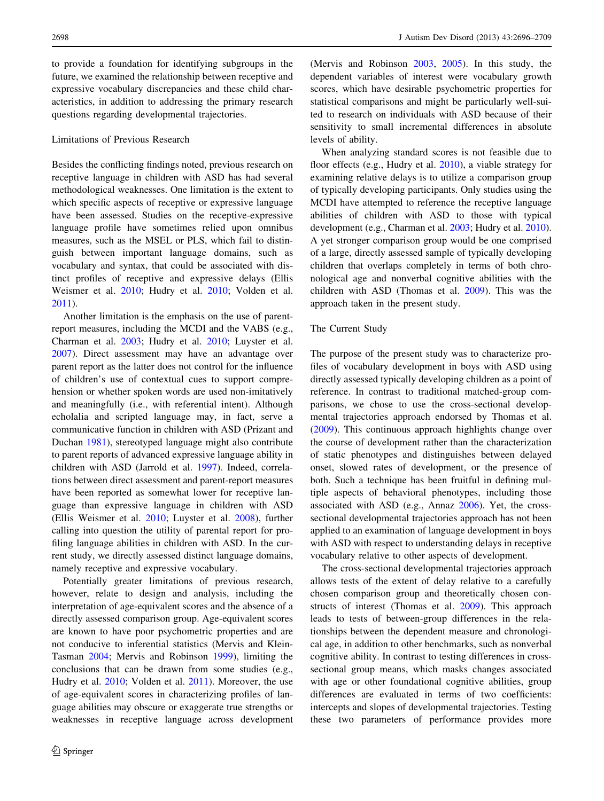to provide a foundation for identifying subgroups in the future, we examined the relationship between receptive and expressive vocabulary discrepancies and these child characteristics, in addition to addressing the primary research questions regarding developmental trajectories.

### Limitations of Previous Research

Besides the conflicting findings noted, previous research on receptive language in children with ASD has had several methodological weaknesses. One limitation is the extent to which specific aspects of receptive or expressive language have been assessed. Studies on the receptive-expressive language profile have sometimes relied upon omnibus measures, such as the MSEL or PLS, which fail to distinguish between important language domains, such as vocabulary and syntax, that could be associated with distinct profiles of receptive and expressive delays (Ellis Weismer et al. [2010](#page-12-0); Hudry et al. [2010;](#page-12-0) Volden et al. [2011\)](#page-13-0).

Another limitation is the emphasis on the use of parentreport measures, including the MCDI and the VABS (e.g., Charman et al. [2003](#page-11-0); Hudry et al. [2010](#page-12-0); Luyster et al. [2007\)](#page-12-0). Direct assessment may have an advantage over parent report as the latter does not control for the influence of children's use of contextual cues to support comprehension or whether spoken words are used non-imitatively and meaningfully (i.e., with referential intent). Although echolalia and scripted language may, in fact, serve a communicative function in children with ASD (Prizant and Duchan [1981](#page-12-0)), stereotyped language might also contribute to parent reports of advanced expressive language ability in children with ASD (Jarrold et al. [1997](#page-12-0)). Indeed, correlations between direct assessment and parent-report measures have been reported as somewhat lower for receptive language than expressive language in children with ASD (Ellis Weismer et al. [2010;](#page-12-0) Luyster et al. [2008\)](#page-12-0), further calling into question the utility of parental report for profiling language abilities in children with ASD. In the current study, we directly assessed distinct language domains, namely receptive and expressive vocabulary.

Potentially greater limitations of previous research, however, relate to design and analysis, including the interpretation of age-equivalent scores and the absence of a directly assessed comparison group. Age-equivalent scores are known to have poor psychometric properties and are not conducive to inferential statistics (Mervis and Klein-Tasman [2004](#page-12-0); Mervis and Robinson [1999\)](#page-12-0), limiting the conclusions that can be drawn from some studies (e.g., Hudry et al. [2010](#page-12-0); Volden et al. [2011\)](#page-13-0). Moreover, the use of age-equivalent scores in characterizing profiles of language abilities may obscure or exaggerate true strengths or weaknesses in receptive language across development

(Mervis and Robinson [2003,](#page-12-0) [2005](#page-12-0)). In this study, the dependent variables of interest were vocabulary growth scores, which have desirable psychometric properties for statistical comparisons and might be particularly well-suited to research on individuals with ASD because of their sensitivity to small incremental differences in absolute levels of ability.

When analyzing standard scores is not feasible due to floor effects (e.g., Hudry et al. [2010](#page-12-0)), a viable strategy for examining relative delays is to utilize a comparison group of typically developing participants. Only studies using the MCDI have attempted to reference the receptive language abilities of children with ASD to those with typical development (e.g., Charman et al. [2003;](#page-11-0) Hudry et al. [2010](#page-12-0)). A yet stronger comparison group would be one comprised of a large, directly assessed sample of typically developing children that overlaps completely in terms of both chronological age and nonverbal cognitive abilities with the children with ASD (Thomas et al. [2009](#page-12-0)). This was the approach taken in the present study.

#### The Current Study

The purpose of the present study was to characterize profiles of vocabulary development in boys with ASD using directly assessed typically developing children as a point of reference. In contrast to traditional matched-group comparisons, we chose to use the cross-sectional developmental trajectories approach endorsed by Thomas et al. [\(2009](#page-12-0)). This continuous approach highlights change over the course of development rather than the characterization of static phenotypes and distinguishes between delayed onset, slowed rates of development, or the presence of both. Such a technique has been fruitful in defining multiple aspects of behavioral phenotypes, including those associated with ASD (e.g., Annaz [2006\)](#page-11-0). Yet, the crosssectional developmental trajectories approach has not been applied to an examination of language development in boys with ASD with respect to understanding delays in receptive vocabulary relative to other aspects of development.

The cross-sectional developmental trajectories approach allows tests of the extent of delay relative to a carefully chosen comparison group and theoretically chosen constructs of interest (Thomas et al. [2009\)](#page-12-0). This approach leads to tests of between-group differences in the relationships between the dependent measure and chronological age, in addition to other benchmarks, such as nonverbal cognitive ability. In contrast to testing differences in crosssectional group means, which masks changes associated with age or other foundational cognitive abilities, group differences are evaluated in terms of two coefficients: intercepts and slopes of developmental trajectories. Testing these two parameters of performance provides more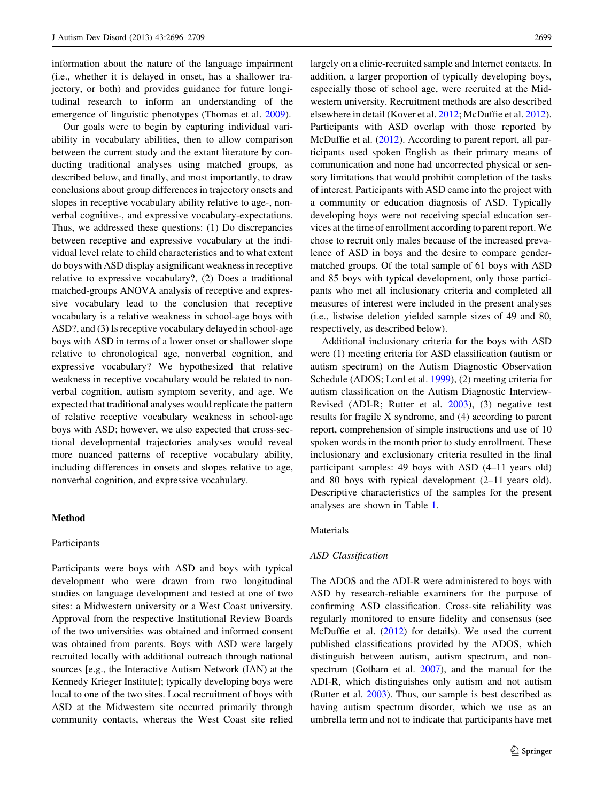information about the nature of the language impairment (i.e., whether it is delayed in onset, has a shallower trajectory, or both) and provides guidance for future longitudinal research to inform an understanding of the emergence of linguistic phenotypes (Thomas et al. [2009](#page-12-0)).

Our goals were to begin by capturing individual variability in vocabulary abilities, then to allow comparison between the current study and the extant literature by conducting traditional analyses using matched groups, as described below, and finally, and most importantly, to draw conclusions about group differences in trajectory onsets and slopes in receptive vocabulary ability relative to age-, nonverbal cognitive-, and expressive vocabulary-expectations. Thus, we addressed these questions: (1) Do discrepancies between receptive and expressive vocabulary at the individual level relate to child characteristics and to what extent do boys with ASD display a significant weakness in receptive relative to expressive vocabulary?, (2) Does a traditional matched-groups ANOVA analysis of receptive and expressive vocabulary lead to the conclusion that receptive vocabulary is a relative weakness in school-age boys with ASD?, and (3) Is receptive vocabulary delayed in school-age boys with ASD in terms of a lower onset or shallower slope relative to chronological age, nonverbal cognition, and expressive vocabulary? We hypothesized that relative weakness in receptive vocabulary would be related to nonverbal cognition, autism symptom severity, and age. We expected that traditional analyses would replicate the pattern of relative receptive vocabulary weakness in school-age boys with ASD; however, we also expected that cross-sectional developmental trajectories analyses would reveal more nuanced patterns of receptive vocabulary ability, including differences in onsets and slopes relative to age, nonverbal cognition, and expressive vocabulary.

### Method

#### Participants

Participants were boys with ASD and boys with typical development who were drawn from two longitudinal studies on language development and tested at one of two sites: a Midwestern university or a West Coast university. Approval from the respective Institutional Review Boards of the two universities was obtained and informed consent was obtained from parents. Boys with ASD were largely recruited locally with additional outreach through national sources [e.g., the Interactive Autism Network (IAN) at the Kennedy Krieger Institute]; typically developing boys were local to one of the two sites. Local recruitment of boys with ASD at the Midwestern site occurred primarily through community contacts, whereas the West Coast site relied largely on a clinic-recruited sample and Internet contacts. In addition, a larger proportion of typically developing boys, especially those of school age, were recruited at the Midwestern university. Recruitment methods are also described elsewhere in detail (Kover et al. [2012;](#page-12-0) McDuffie et al. [2012](#page-12-0)). Participants with ASD overlap with those reported by McDuffie et al. ([2012\)](#page-12-0). According to parent report, all participants used spoken English as their primary means of communication and none had uncorrected physical or sensory limitations that would prohibit completion of the tasks of interest. Participants with ASD came into the project with a community or education diagnosis of ASD. Typically developing boys were not receiving special education services at the time of enrollment according to parent report. We chose to recruit only males because of the increased prevalence of ASD in boys and the desire to compare gendermatched groups. Of the total sample of 61 boys with ASD and 85 boys with typical development, only those participants who met all inclusionary criteria and completed all measures of interest were included in the present analyses (i.e., listwise deletion yielded sample sizes of 49 and 80, respectively, as described below).

Additional inclusionary criteria for the boys with ASD were (1) meeting criteria for ASD classification (autism or autism spectrum) on the Autism Diagnostic Observation Schedule (ADOS; Lord et al. [1999\)](#page-12-0), (2) meeting criteria for autism classification on the Autism Diagnostic Interview-Revised (ADI-R; Rutter et al. [2003](#page-12-0)), (3) negative test results for fragile X syndrome, and (4) according to parent report, comprehension of simple instructions and use of 10 spoken words in the month prior to study enrollment. These inclusionary and exclusionary criteria resulted in the final participant samples: 49 boys with ASD (4–11 years old) and 80 boys with typical development (2–11 years old). Descriptive characteristics of the samples for the present analyses are shown in Table [1.](#page-4-0)

#### Materials

#### ASD Classification

The ADOS and the ADI-R were administered to boys with ASD by research-reliable examiners for the purpose of confirming ASD classification. Cross-site reliability was regularly monitored to ensure fidelity and consensus (see McDuffie et al. [\(2012](#page-12-0)) for details). We used the current published classifications provided by the ADOS, which distinguish between autism, autism spectrum, and nonspectrum (Gotham et al. [2007](#page-12-0)), and the manual for the ADI-R, which distinguishes only autism and not autism (Rutter et al. [2003\)](#page-12-0). Thus, our sample is best described as having autism spectrum disorder, which we use as an umbrella term and not to indicate that participants have met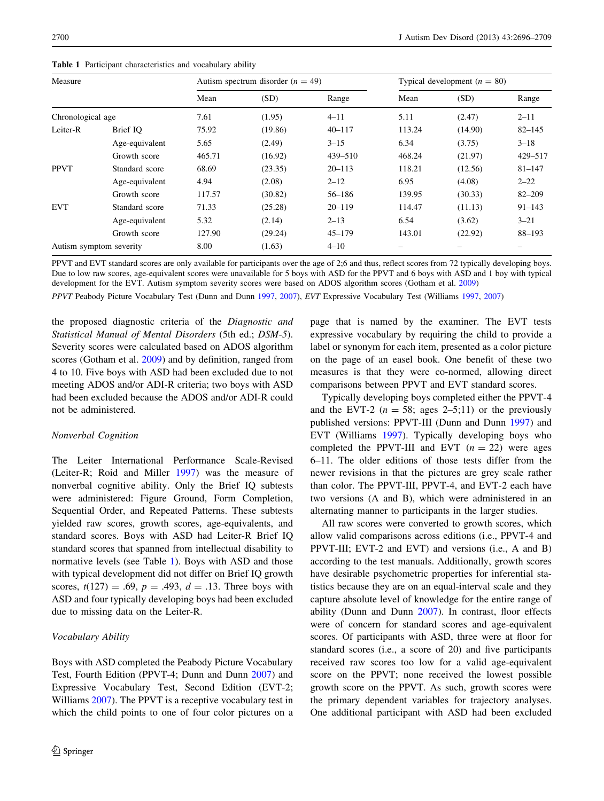<span id="page-4-0"></span>Table 1 Participant characteristics and vocabulary ability

| Measure                 |                | Autism spectrum disorder ( $n = 49$ ) |         |             | Typical development $(n = 80)$ |         |            |
|-------------------------|----------------|---------------------------------------|---------|-------------|--------------------------------|---------|------------|
|                         |                | Mean                                  | (SD)    | Range       | Mean                           | (SD)    | Range      |
| Chronological age       |                | 7.61                                  | (1.95)  | $4 - 11$    | 5.11                           | (2.47)  | $2 - 11$   |
| Leiter-R                | Brief IO       | 75.92                                 | (19.86) | $40 - 117$  | 113.24                         | (14.90) | $82 - 145$ |
|                         | Age-equivalent | 5.65                                  | (2.49)  | $3 - 15$    | 6.34                           | (3.75)  | $3 - 18$   |
|                         | Growth score   | 465.71                                | (16.92) | $439 - 510$ | 468.24                         | (21.97) | 429-517    |
| <b>PPVT</b>             | Standard score | 68.69                                 | (23.35) | $20 - 113$  | 118.21                         | (12.56) | $81 - 147$ |
|                         | Age-equivalent | 4.94                                  | (2.08)  | $2 - 12$    | 6.95                           | (4.08)  | $2 - 22$   |
|                         | Growth score   | 117.57                                | (30.82) | 56–186      | 139.95                         | (30.33) | $82 - 209$ |
| <b>EVT</b>              | Standard score | 71.33                                 | (25.28) | $20 - 119$  | 114.47                         | (11.13) | $91 - 143$ |
|                         | Age-equivalent | 5.32                                  | (2.14)  | $2 - 13$    | 6.54                           | (3.62)  | $3 - 21$   |
|                         | Growth score   | 127.90                                | (29.24) | $45 - 179$  | 143.01                         | (22.92) | $88 - 193$ |
| Autism symptom severity |                | 8.00                                  | (1.63)  | $4 - 10$    |                                |         |            |

PPVT and EVT standard scores are only available for participants over the age of 2;6 and thus, reflect scores from 72 typically developing boys. Due to low raw scores, age-equivalent scores were unavailable for 5 boys with ASD for the PPVT and 6 boys with ASD and 1 boy with typical development for the EVT. Autism symptom severity scores were based on ADOS algorithm scores (Gotham et al. [2009\)](#page-12-0)

PPVT Peabody Picture Vocabulary Test (Dunn and Dunn [1997](#page-11-0), [2007\)](#page-11-0), EVT Expressive Vocabulary Test (Williams [1997](#page-13-0), [2007](#page-13-0))

the proposed diagnostic criteria of the Diagnostic and Statistical Manual of Mental Disorders (5th ed.; DSM-5). Severity scores were calculated based on ADOS algorithm scores (Gotham et al. [2009\)](#page-12-0) and by definition, ranged from 4 to 10. Five boys with ASD had been excluded due to not meeting ADOS and/or ADI-R criteria; two boys with ASD had been excluded because the ADOS and/or ADI-R could not be administered.

# Nonverbal Cognition

The Leiter International Performance Scale-Revised (Leiter-R; Roid and Miller [1997](#page-12-0)) was the measure of nonverbal cognitive ability. Only the Brief IQ subtests were administered: Figure Ground, Form Completion, Sequential Order, and Repeated Patterns. These subtests yielded raw scores, growth scores, age-equivalents, and standard scores. Boys with ASD had Leiter-R Brief IQ standard scores that spanned from intellectual disability to normative levels (see Table 1). Boys with ASD and those with typical development did not differ on Brief IQ growth scores,  $t(127) = .69$ ,  $p = .493$ ,  $d = .13$ . Three boys with ASD and four typically developing boys had been excluded due to missing data on the Leiter-R.

# Vocabulary Ability

Boys with ASD completed the Peabody Picture Vocabulary Test, Fourth Edition (PPVT-4; Dunn and Dunn [2007\)](#page-11-0) and Expressive Vocabulary Test, Second Edition (EVT-2; Williams [2007](#page-13-0)). The PPVT is a receptive vocabulary test in which the child points to one of four color pictures on a page that is named by the examiner. The EVT tests expressive vocabulary by requiring the child to provide a label or synonym for each item, presented as a color picture on the page of an easel book. One benefit of these two measures is that they were co-normed, allowing direct comparisons between PPVT and EVT standard scores.

Typically developing boys completed either the PPVT-4 and the EVT-2 ( $n = 58$ ; ages 2–5;11) or the previously published versions: PPVT-III (Dunn and Dunn [1997\)](#page-11-0) and EVT (Williams [1997\)](#page-13-0). Typically developing boys who completed the PPVT-III and EVT  $(n = 22)$  were ages 6–11. The older editions of those tests differ from the newer revisions in that the pictures are grey scale rather than color. The PPVT-III, PPVT-4, and EVT-2 each have two versions (A and B), which were administered in an alternating manner to participants in the larger studies.

All raw scores were converted to growth scores, which allow valid comparisons across editions (i.e., PPVT-4 and PPVT-III; EVT-2 and EVT) and versions (i.e., A and B) according to the test manuals. Additionally, growth scores have desirable psychometric properties for inferential statistics because they are on an equal-interval scale and they capture absolute level of knowledge for the entire range of ability (Dunn and Dunn [2007](#page-11-0)). In contrast, floor effects were of concern for standard scores and age-equivalent scores. Of participants with ASD, three were at floor for standard scores (i.e., a score of 20) and five participants received raw scores too low for a valid age-equivalent score on the PPVT; none received the lowest possible growth score on the PPVT. As such, growth scores were the primary dependent variables for trajectory analyses. One additional participant with ASD had been excluded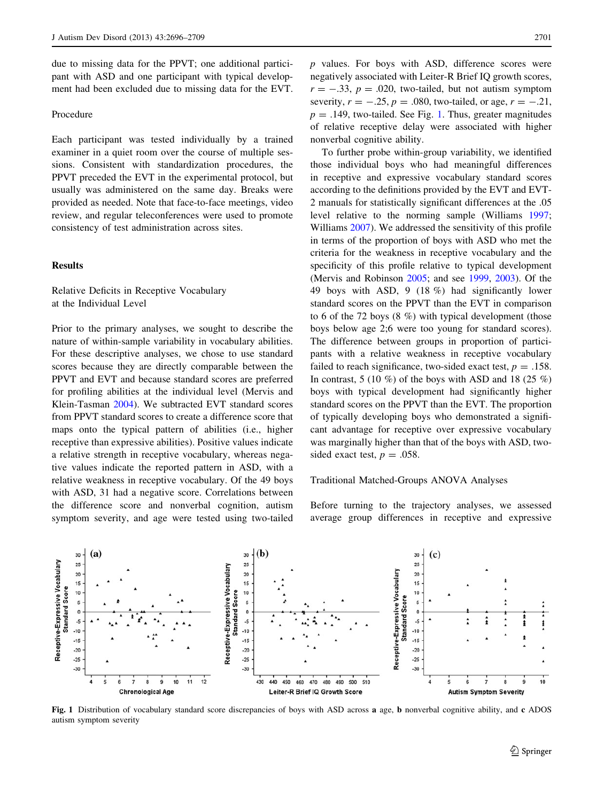due to missing data for the PPVT; one additional participant with ASD and one participant with typical development had been excluded due to missing data for the EVT.

### Procedure

Each participant was tested individually by a trained examiner in a quiet room over the course of multiple sessions. Consistent with standardization procedures, the PPVT preceded the EVT in the experimental protocol, but usually was administered on the same day. Breaks were provided as needed. Note that face-to-face meetings, video review, and regular teleconferences were used to promote consistency of test administration across sites.

# Results

# Relative Deficits in Receptive Vocabulary at the Individual Level

Prior to the primary analyses, we sought to describe the nature of within-sample variability in vocabulary abilities. For these descriptive analyses, we chose to use standard scores because they are directly comparable between the PPVT and EVT and because standard scores are preferred for profiling abilities at the individual level (Mervis and Klein-Tasman [2004\)](#page-12-0). We subtracted EVT standard scores from PPVT standard scores to create a difference score that maps onto the typical pattern of abilities (i.e., higher receptive than expressive abilities). Positive values indicate a relative strength in receptive vocabulary, whereas negative values indicate the reported pattern in ASD, with a relative weakness in receptive vocabulary. Of the 49 boys with ASD, 31 had a negative score. Correlations between the difference score and nonverbal cognition, autism symptom severity, and age were tested using two-tailed  $p$  values. For boys with ASD, difference scores were negatively associated with Leiter-R Brief IQ growth scores,  $r = -.33$ ,  $p = .020$ , two-tailed, but not autism symptom severity,  $r = -.25$ ,  $p = .080$ , two-tailed, or age,  $r = -.21$ ,  $p = .149$ , two-tailed. See Fig. 1. Thus, greater magnitudes of relative receptive delay were associated with higher nonverbal cognitive ability.

To further probe within-group variability, we identified those individual boys who had meaningful differences in receptive and expressive vocabulary standard scores according to the definitions provided by the EVT and EVT-2 manuals for statistically significant differences at the .05 level relative to the norming sample (Williams [1997](#page-13-0); Williams [2007](#page-13-0)). We addressed the sensitivity of this profile in terms of the proportion of boys with ASD who met the criteria for the weakness in receptive vocabulary and the specificity of this profile relative to typical development (Mervis and Robinson [2005](#page-12-0); and see [1999](#page-12-0), [2003](#page-12-0)). Of the 49 boys with ASD, 9 (18 %) had significantly lower standard scores on the PPVT than the EVT in comparison to 6 of the 72 boys (8 %) with typical development (those boys below age 2;6 were too young for standard scores). The difference between groups in proportion of participants with a relative weakness in receptive vocabulary failed to reach significance, two-sided exact test,  $p = .158$ . In contrast, 5 (10 %) of the boys with ASD and 18 (25 %) boys with typical development had significantly higher standard scores on the PPVT than the EVT. The proportion of typically developing boys who demonstrated a significant advantage for receptive over expressive vocabulary was marginally higher than that of the boys with ASD, twosided exact test,  $p = .058$ .

### Traditional Matched-Groups ANOVA Analyses

Before turning to the trajectory analyses, we assessed average group differences in receptive and expressive



Fig. 1 Distribution of vocabulary standard score discrepancies of boys with ASD across a age, b nonverbal cognitive ability, and c ADOS autism symptom severity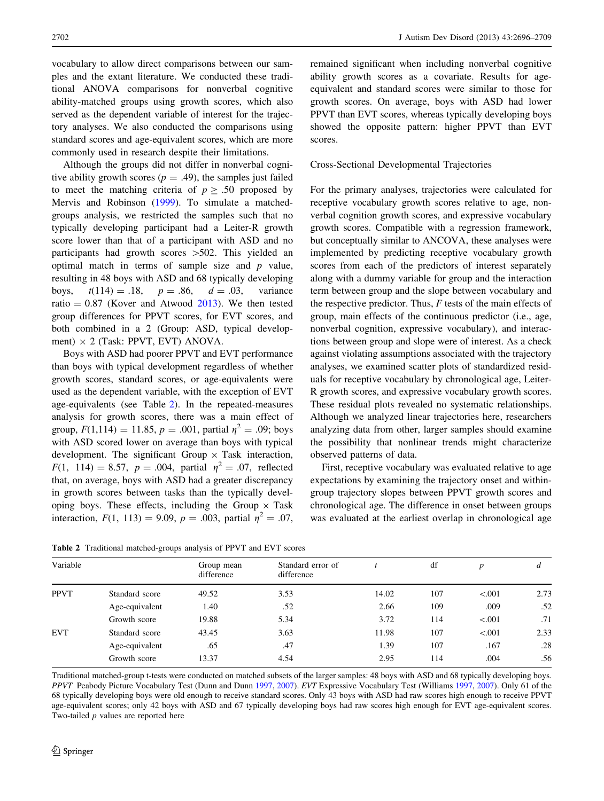vocabulary to allow direct comparisons between our samples and the extant literature. We conducted these traditional ANOVA comparisons for nonverbal cognitive ability-matched groups using growth scores, which also served as the dependent variable of interest for the trajectory analyses. We also conducted the comparisons using standard scores and age-equivalent scores, which are more commonly used in research despite their limitations.

Although the groups did not differ in nonverbal cognitive ability growth scores ( $p = .49$ ), the samples just failed to meet the matching criteria of  $p > .50$  proposed by Mervis and Robinson ([1999\)](#page-12-0). To simulate a matchedgroups analysis, we restricted the samples such that no typically developing participant had a Leiter-R growth score lower than that of a participant with ASD and no participants had growth scores  $>502$ . This yielded an optimal match in terms of sample size and  $p$  value, resulting in 48 boys with ASD and 68 typically developing boys,  $t(114) = .18$ ,  $p = .86$ ,  $d = .03$ , variance ratio =  $0.87$  (Kover and Atwood [2013\)](#page-12-0). We then tested group differences for PPVT scores, for EVT scores, and both combined in a 2 (Group: ASD, typical development)  $\times$  2 (Task: PPVT, EVT) ANOVA.

Boys with ASD had poorer PPVT and EVT performance than boys with typical development regardless of whether growth scores, standard scores, or age-equivalents were used as the dependent variable, with the exception of EVT age-equivalents (see Table 2). In the repeated-measures analysis for growth scores, there was a main effect of group,  $F(1,114) = 11.85$ ,  $p = .001$ , partial  $\eta^2 = .09$ ; boys with ASD scored lower on average than boys with typical development. The significant Group  $\times$  Task interaction,  $F(1, 114) = 8.57, p = .004$ , partial  $\eta^2 = .07$ , reflected that, on average, boys with ASD had a greater discrepancy in growth scores between tasks than the typically developing boys. These effects, including the Group  $\times$  Task interaction,  $F(1, 113) = 9.09$ ,  $p = .003$ , partial  $\eta^2 = .07$ ,

Table 2 Traditional matched-groups analysis of PPVT and EVT scores

remained significant when including nonverbal cognitive ability growth scores as a covariate. Results for ageequivalent and standard scores were similar to those for growth scores. On average, boys with ASD had lower PPVT than EVT scores, whereas typically developing boys showed the opposite pattern: higher PPVT than EVT scores.

### Cross-Sectional Developmental Trajectories

For the primary analyses, trajectories were calculated for receptive vocabulary growth scores relative to age, nonverbal cognition growth scores, and expressive vocabulary growth scores. Compatible with a regression framework, but conceptually similar to ANCOVA, these analyses were implemented by predicting receptive vocabulary growth scores from each of the predictors of interest separately along with a dummy variable for group and the interaction term between group and the slope between vocabulary and the respective predictor. Thus,  $F$  tests of the main effects of group, main effects of the continuous predictor (i.e., age, nonverbal cognition, expressive vocabulary), and interactions between group and slope were of interest. As a check against violating assumptions associated with the trajectory analyses, we examined scatter plots of standardized residuals for receptive vocabulary by chronological age, Leiter-R growth scores, and expressive vocabulary growth scores. These residual plots revealed no systematic relationships. Although we analyzed linear trajectories here, researchers analyzing data from other, larger samples should examine the possibility that nonlinear trends might characterize observed patterns of data.

First, receptive vocabulary was evaluated relative to age expectations by examining the trajectory onset and withingroup trajectory slopes between PPVT growth scores and chronological age. The difference in onset between groups was evaluated at the earliest overlap in chronological age

| Variable    |                | Group mean<br>difference | Standard error of<br>difference |       | df  | D       | d    |
|-------------|----------------|--------------------------|---------------------------------|-------|-----|---------|------|
| <b>PPVT</b> | Standard score | 49.52                    | 3.53                            | 14.02 | 107 | < 0.001 | 2.73 |
|             | Age-equivalent | 1.40                     | .52                             | 2.66  | 109 | .009    | .52  |
|             | Growth score   | 19.88                    | 5.34                            | 3.72  | 114 | < 0.001 | .71  |
| <b>EVT</b>  | Standard score | 43.45                    | 3.63                            | 11.98 | 107 | < 0.001 | 2.33 |
|             | Age-equivalent | .65                      | .47                             | 1.39  | 107 | .167    | .28  |
|             | Growth score   | 13.37                    | 4.54                            | 2.95  | 114 | .004    | .56  |

Traditional matched-group t-tests were conducted on matched subsets of the larger samples: 48 boys with ASD and 68 typically developing boys. PPVT Peabody Picture Vocabulary Test (Dunn and Dunn [1997,](#page-11-0) [2007](#page-13-0)). EVT Expressive Vocabulary Test (Williams [1997](#page-13-0), 2007). Only 61 of the 68 typically developing boys were old enough to receive standard scores. Only 43 boys with ASD had raw scores high enough to receive PPVT age-equivalent scores; only 42 boys with ASD and 67 typically developing boys had raw scores high enough for EVT age-equivalent scores. Two-tailed *p* values are reported here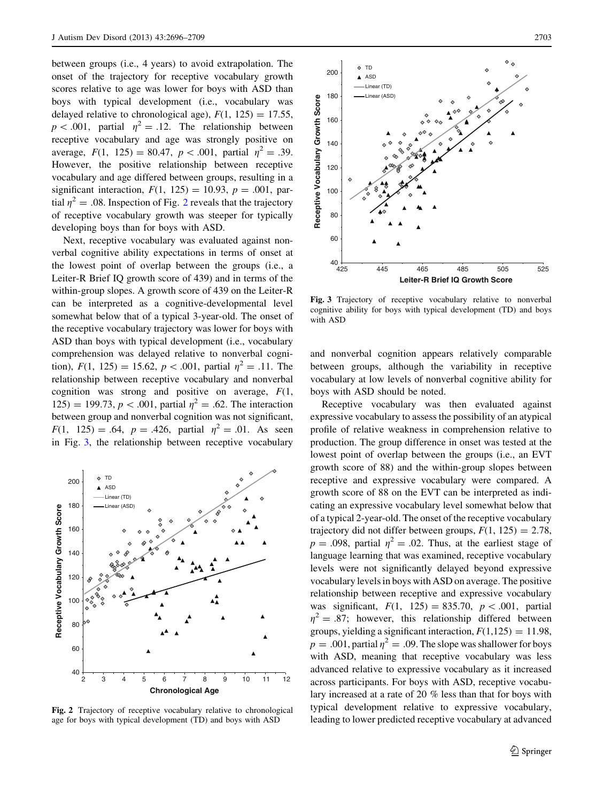<span id="page-7-0"></span>between groups (i.e., 4 years) to avoid extrapolation. The onset of the trajectory for receptive vocabulary growth scores relative to age was lower for boys with ASD than boys with typical development (i.e., vocabulary was delayed relative to chronological age),  $F(1, 125) = 17.55$ ,  $p < .001$ , partial  $\eta^2 = .12$ . The relationship between receptive vocabulary and age was strongly positive on average,  $F(1, 125) = 80.47$ ,  $p < .001$ , partial  $\eta^2 = .39$ . However, the positive relationship between receptive vocabulary and age differed between groups, resulting in a significant interaction,  $F(1, 125) = 10.93$ ,  $p = .001$ , partial  $\eta^2 = .08$ . Inspection of Fig. 2 reveals that the trajectory of receptive vocabulary growth was steeper for typically developing boys than for boys with ASD.

Next, receptive vocabulary was evaluated against nonverbal cognitive ability expectations in terms of onset at the lowest point of overlap between the groups (i.e., a Leiter-R Brief IQ growth score of 439) and in terms of the within-group slopes. A growth score of 439 on the Leiter-R can be interpreted as a cognitive-developmental level somewhat below that of a typical 3-year-old. The onset of the receptive vocabulary trajectory was lower for boys with ASD than boys with typical development (i.e., vocabulary comprehension was delayed relative to nonverbal cognition),  $F(1, 125) = 15.62$ ,  $p < .001$ , partial  $\eta^2 = .11$ . The relationship between receptive vocabulary and nonverbal cognition was strong and positive on average,  $F(1)$ , 125) = 199.73,  $p < .001$ , partial  $\eta^2 = .62$ . The interaction between group and nonverbal cognition was not significant,  $F(1, 125) = .64$ ,  $p = .426$ , partial  $\eta^2 = .01$ . As seen in Fig. 3, the relationship between receptive vocabulary



Fig. 2 Trajectory of receptive vocabulary relative to chronological age for boys with typical development (TD) and boys with ASD



Fig. 3 Trajectory of receptive vocabulary relative to nonverbal cognitive ability for boys with typical development (TD) and boys with ASD

and nonverbal cognition appears relatively comparable between groups, although the variability in receptive vocabulary at low levels of nonverbal cognitive ability for boys with ASD should be noted.

Receptive vocabulary was then evaluated against expressive vocabulary to assess the possibility of an atypical profile of relative weakness in comprehension relative to production. The group difference in onset was tested at the lowest point of overlap between the groups (i.e., an EVT growth score of 88) and the within-group slopes between receptive and expressive vocabulary were compared. A growth score of 88 on the EVT can be interpreted as indicating an expressive vocabulary level somewhat below that of a typical 2-year-old. The onset of the receptive vocabulary trajectory did not differ between groups,  $F(1, 125) = 2.78$ ,  $p = .098$ , partial  $\eta^2 = .02$ . Thus, at the earliest stage of language learning that was examined, receptive vocabulary levels were not significantly delayed beyond expressive vocabulary levels in boys with ASD on average. The positive relationship between receptive and expressive vocabulary was significant,  $F(1, 125) = 835.70, p < .001$ , partial  $\eta^2 = .87$ ; however, this relationship differed between groups, yielding a significant interaction,  $F(1,125) = 11.98$ ,  $p = .001$ , partial  $\eta^2 = .09$ . The slope was shallower for boys with ASD, meaning that receptive vocabulary was less advanced relative to expressive vocabulary as it increased across participants. For boys with ASD, receptive vocabulary increased at a rate of 20 % less than that for boys with typical development relative to expressive vocabulary, leading to lower predicted receptive vocabulary at advanced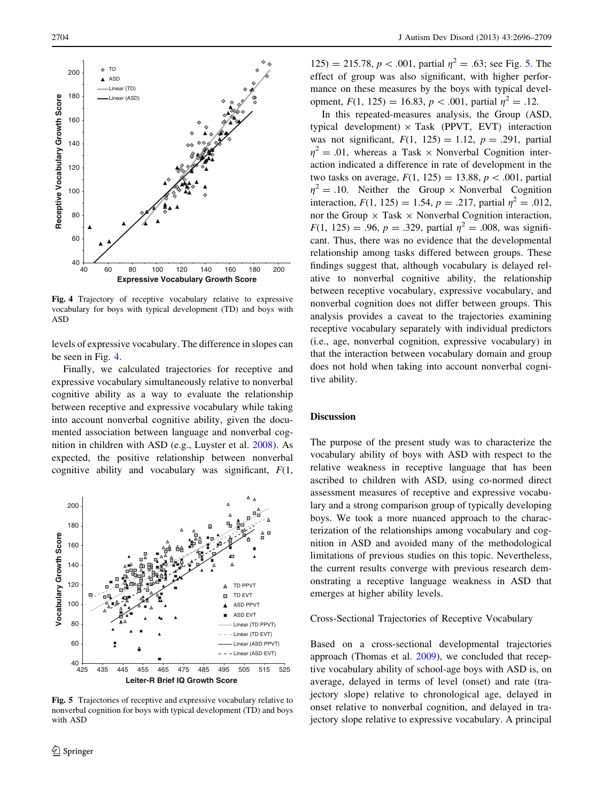<span id="page-8-0"></span>

Fig. 4 Trajectory of receptive vocabulary relative to expressive vocabulary for boys with typical development (TD) and boys with ASD

levels of expressive vocabulary. The difference in slopes can be seen in Fig. 4.

Finally, we calculated trajectories for receptive and expressive vocabulary simultaneously relative to nonverbal cognitive ability as a way to evaluate the relationship between receptive and expressive vocabulary while taking into account nonverbal cognitive ability, given the documented association between language and nonverbal cognition in children with ASD (e.g., Luyster et al. [2008](#page-12-0)). As expected, the positive relationship between nonverbal cognitive ability and vocabulary was significant,  $F(1)$ ,



Fig. 5 Trajectories of receptive and expressive vocabulary relative to nonverbal cognition for boys with typical development (TD) and boys with ASD

 $125$ ) = 215.78, p < .001, partial  $n^2$  = .63; see Fig. 5. The effect of group was also significant, with higher performance on these measures by the boys with typical development,  $F(1, 125) = 16.83$ ,  $p < .001$ , partial  $\eta^2 = .12$ .

In this repeated-measures analysis, the Group (ASD, typical development)  $\times$  Task (PPVT, EVT) interaction was not significant,  $F(1, 125) = 1.12$ ,  $p = .291$ , partial  $\eta^2 = .01$ , whereas a Task  $\times$  Nonverbal Cognition interaction indicated a difference in rate of development in the two tasks on average,  $F(1, 125) = 13.88, p < .001$ , partial  $\eta^2 = .10$ . Neither the Group  $\times$  Nonverbal Cognition interaction,  $F(1, 125) = 1.54$ ,  $p = .217$ , partial  $\eta^2 = .012$ , nor the Group  $\times$  Task  $\times$  Nonverbal Cognition interaction,  $F(1, 125) = .96$ ,  $p = .329$ , partial  $\eta^2 = .008$ , was significant. Thus, there was no evidence that the developmental relationship among tasks differed between groups. These findings suggest that, although vocabulary is delayed relative to nonverbal cognitive ability, the relationship between receptive vocabulary, expressive vocabulary, and nonverbal cognition does not differ between groups. This analysis provides a caveat to the trajectories examining receptive vocabulary separately with individual predictors (i.e., age, nonverbal cognition, expressive vocabulary) in that the interaction between vocabulary domain and group does not hold when taking into account nonverbal cognitive ability.

### Discussion

The purpose of the present study was to characterize the vocabulary ability of boys with ASD with respect to the relative weakness in receptive language that has been ascribed to children with ASD, using co-normed direct assessment measures of receptive and expressive vocabulary and a strong comparison group of typically developing boys. We took a more nuanced approach to the characterization of the relationships among vocabulary and cognition in ASD and avoided many of the methodological limitations of previous studies on this topic. Nevertheless, the current results converge with previous research demonstrating a receptive language weakness in ASD that emerges at higher ability levels.

### Cross-Sectional Trajectories of Receptive Vocabulary

Based on a cross-sectional developmental trajectories approach (Thomas et al. [2009](#page-12-0)), we concluded that receptive vocabulary ability of school-age boys with ASD is, on average, delayed in terms of level (onset) and rate (trajectory slope) relative to chronological age, delayed in onset relative to nonverbal cognition, and delayed in trajectory slope relative to expressive vocabulary. A principal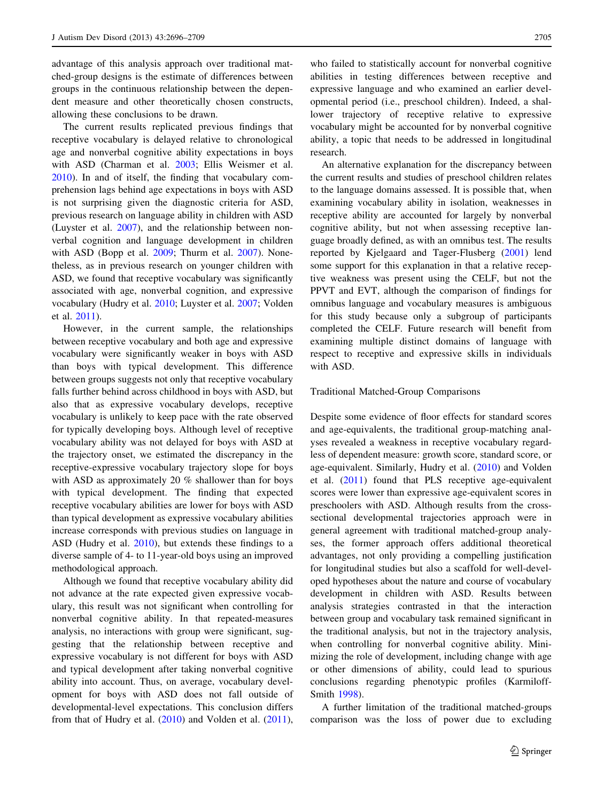advantage of this analysis approach over traditional matched-group designs is the estimate of differences between groups in the continuous relationship between the dependent measure and other theoretically chosen constructs, allowing these conclusions to be drawn.

The current results replicated previous findings that receptive vocabulary is delayed relative to chronological age and nonverbal cognitive ability expectations in boys with ASD (Charman et al. [2003;](#page-11-0) Ellis Weismer et al. [2010\)](#page-12-0). In and of itself, the finding that vocabulary comprehension lags behind age expectations in boys with ASD is not surprising given the diagnostic criteria for ASD, previous research on language ability in children with ASD (Luyster et al. [2007](#page-12-0)), and the relationship between nonverbal cognition and language development in children with ASD (Bopp et al. [2009;](#page-11-0) Thurm et al. [2007](#page-12-0)). Nonetheless, as in previous research on younger children with ASD, we found that receptive vocabulary was significantly associated with age, nonverbal cognition, and expressive vocabulary (Hudry et al. [2010;](#page-12-0) Luyster et al. [2007](#page-12-0); Volden et al. [2011\)](#page-13-0).

However, in the current sample, the relationships between receptive vocabulary and both age and expressive vocabulary were significantly weaker in boys with ASD than boys with typical development. This difference between groups suggests not only that receptive vocabulary falls further behind across childhood in boys with ASD, but also that as expressive vocabulary develops, receptive vocabulary is unlikely to keep pace with the rate observed for typically developing boys. Although level of receptive vocabulary ability was not delayed for boys with ASD at the trajectory onset, we estimated the discrepancy in the receptive-expressive vocabulary trajectory slope for boys with ASD as approximately 20 % shallower than for boys with typical development. The finding that expected receptive vocabulary abilities are lower for boys with ASD than typical development as expressive vocabulary abilities increase corresponds with previous studies on language in ASD (Hudry et al. [2010\)](#page-12-0), but extends these findings to a diverse sample of 4- to 11-year-old boys using an improved methodological approach.

Although we found that receptive vocabulary ability did not advance at the rate expected given expressive vocabulary, this result was not significant when controlling for nonverbal cognitive ability. In that repeated-measures analysis, no interactions with group were significant, suggesting that the relationship between receptive and expressive vocabulary is not different for boys with ASD and typical development after taking nonverbal cognitive ability into account. Thus, on average, vocabulary development for boys with ASD does not fall outside of developmental-level expectations. This conclusion differs from that of Hudry et al. [\(2010](#page-12-0)) and Volden et al. [\(2011](#page-13-0)),

who failed to statistically account for nonverbal cognitive abilities in testing differences between receptive and expressive language and who examined an earlier developmental period (i.e., preschool children). Indeed, a shallower trajectory of receptive relative to expressive vocabulary might be accounted for by nonverbal cognitive ability, a topic that needs to be addressed in longitudinal research.

An alternative explanation for the discrepancy between the current results and studies of preschool children relates to the language domains assessed. It is possible that, when examining vocabulary ability in isolation, weaknesses in receptive ability are accounted for largely by nonverbal cognitive ability, but not when assessing receptive language broadly defined, as with an omnibus test. The results reported by Kjelgaard and Tager-Flusberg ([2001\)](#page-12-0) lend some support for this explanation in that a relative receptive weakness was present using the CELF, but not the PPVT and EVT, although the comparison of findings for omnibus language and vocabulary measures is ambiguous for this study because only a subgroup of participants completed the CELF. Future research will benefit from examining multiple distinct domains of language with respect to receptive and expressive skills in individuals with ASD.

#### Traditional Matched-Group Comparisons

Despite some evidence of floor effects for standard scores and age-equivalents, the traditional group-matching analyses revealed a weakness in receptive vocabulary regardless of dependent measure: growth score, standard score, or age-equivalent. Similarly, Hudry et al. [\(2010](#page-12-0)) and Volden et al. ([2011\)](#page-13-0) found that PLS receptive age-equivalent scores were lower than expressive age-equivalent scores in preschoolers with ASD. Although results from the crosssectional developmental trajectories approach were in general agreement with traditional matched-group analyses, the former approach offers additional theoretical advantages, not only providing a compelling justification for longitudinal studies but also a scaffold for well-developed hypotheses about the nature and course of vocabulary development in children with ASD. Results between analysis strategies contrasted in that the interaction between group and vocabulary task remained significant in the traditional analysis, but not in the trajectory analysis, when controlling for nonverbal cognitive ability. Minimizing the role of development, including change with age or other dimensions of ability, could lead to spurious conclusions regarding phenotypic profiles (Karmiloff-Smith [1998](#page-12-0)).

A further limitation of the traditional matched-groups comparison was the loss of power due to excluding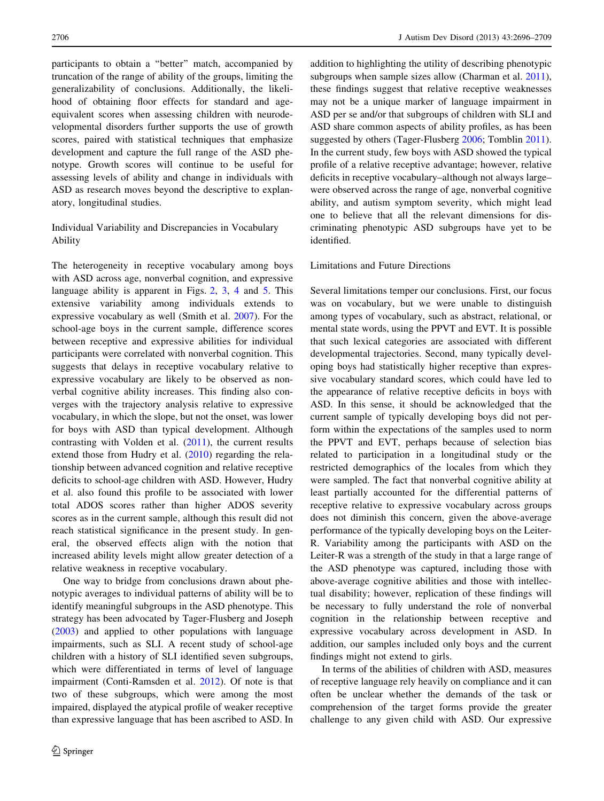participants to obtain a ''better'' match, accompanied by truncation of the range of ability of the groups, limiting the generalizability of conclusions. Additionally, the likelihood of obtaining floor effects for standard and ageequivalent scores when assessing children with neurodevelopmental disorders further supports the use of growth scores, paired with statistical techniques that emphasize development and capture the full range of the ASD phenotype. Growth scores will continue to be useful for assessing levels of ability and change in individuals with ASD as research moves beyond the descriptive to explanatory, longitudinal studies.

# Individual Variability and Discrepancies in Vocabulary Ability

The heterogeneity in receptive vocabulary among boys with ASD across age, nonverbal cognition, and expressive language ability is apparent in Figs. [2](#page-7-0), [3](#page-7-0), [4](#page-8-0) and [5](#page-8-0). This extensive variability among individuals extends to expressive vocabulary as well (Smith et al. [2007\)](#page-12-0). For the school-age boys in the current sample, difference scores between receptive and expressive abilities for individual participants were correlated with nonverbal cognition. This suggests that delays in receptive vocabulary relative to expressive vocabulary are likely to be observed as nonverbal cognitive ability increases. This finding also converges with the trajectory analysis relative to expressive vocabulary, in which the slope, but not the onset, was lower for boys with ASD than typical development. Although contrasting with Volden et al. [\(2011\)](#page-13-0), the current results extend those from Hudry et al. ([2010\)](#page-12-0) regarding the relationship between advanced cognition and relative receptive deficits to school-age children with ASD. However, Hudry et al. also found this profile to be associated with lower total ADOS scores rather than higher ADOS severity scores as in the current sample, although this result did not reach statistical significance in the present study. In general, the observed effects align with the notion that increased ability levels might allow greater detection of a relative weakness in receptive vocabulary.

One way to bridge from conclusions drawn about phenotypic averages to individual patterns of ability will be to identify meaningful subgroups in the ASD phenotype. This strategy has been advocated by Tager-Flusberg and Joseph [\(2003](#page-12-0)) and applied to other populations with language impairments, such as SLI. A recent study of school-age children with a history of SLI identified seven subgroups, which were differentiated in terms of level of language impairment (Conti-Ramsden et al. [2012](#page-11-0)). Of note is that two of these subgroups, which were among the most impaired, displayed the atypical profile of weaker receptive than expressive language that has been ascribed to ASD. In

addition to highlighting the utility of describing phenotypic subgroups when sample sizes allow (Charman et al. [2011](#page-11-0)), these findings suggest that relative receptive weaknesses may not be a unique marker of language impairment in ASD per se and/or that subgroups of children with SLI and ASD share common aspects of ability profiles, as has been suggested by others (Tager-Flusberg [2006;](#page-12-0) Tomblin [2011](#page-12-0)). In the current study, few boys with ASD showed the typical profile of a relative receptive advantage; however, relative deficits in receptive vocabulary–although not always large– were observed across the range of age, nonverbal cognitive ability, and autism symptom severity, which might lead one to believe that all the relevant dimensions for discriminating phenotypic ASD subgroups have yet to be identified.

# Limitations and Future Directions

Several limitations temper our conclusions. First, our focus was on vocabulary, but we were unable to distinguish among types of vocabulary, such as abstract, relational, or mental state words, using the PPVT and EVT. It is possible that such lexical categories are associated with different developmental trajectories. Second, many typically developing boys had statistically higher receptive than expressive vocabulary standard scores, which could have led to the appearance of relative receptive deficits in boys with ASD. In this sense, it should be acknowledged that the current sample of typically developing boys did not perform within the expectations of the samples used to norm the PPVT and EVT, perhaps because of selection bias related to participation in a longitudinal study or the restricted demographics of the locales from which they were sampled. The fact that nonverbal cognitive ability at least partially accounted for the differential patterns of receptive relative to expressive vocabulary across groups does not diminish this concern, given the above-average performance of the typically developing boys on the Leiter-R. Variability among the participants with ASD on the Leiter-R was a strength of the study in that a large range of the ASD phenotype was captured, including those with above-average cognitive abilities and those with intellectual disability; however, replication of these findings will be necessary to fully understand the role of nonverbal cognition in the relationship between receptive and expressive vocabulary across development in ASD. In addition, our samples included only boys and the current findings might not extend to girls.

In terms of the abilities of children with ASD, measures of receptive language rely heavily on compliance and it can often be unclear whether the demands of the task or comprehension of the target forms provide the greater challenge to any given child with ASD. Our expressive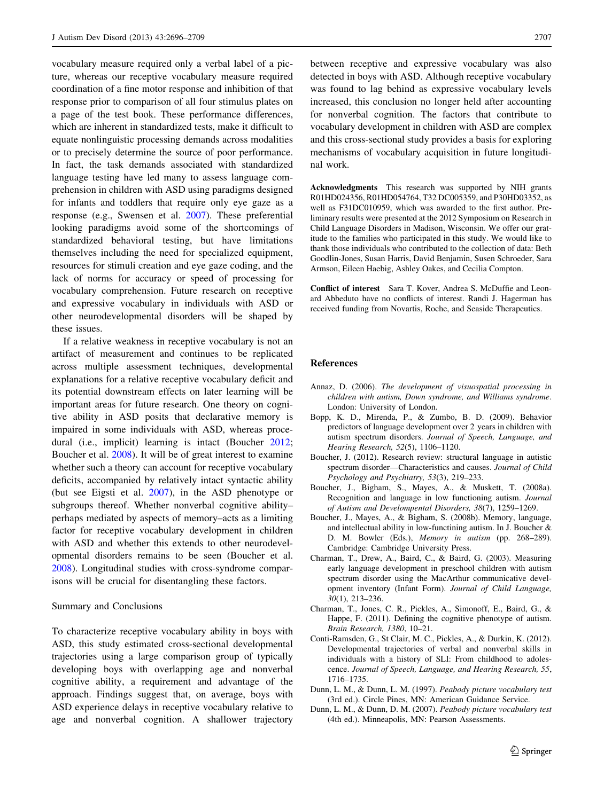<span id="page-11-0"></span>vocabulary measure required only a verbal label of a picture, whereas our receptive vocabulary measure required coordination of a fine motor response and inhibition of that response prior to comparison of all four stimulus plates on a page of the test book. These performance differences, which are inherent in standardized tests, make it difficult to equate nonlinguistic processing demands across modalities or to precisely determine the source of poor performance. In fact, the task demands associated with standardized language testing have led many to assess language comprehension in children with ASD using paradigms designed for infants and toddlers that require only eye gaze as a response (e.g., Swensen et al. [2007](#page-12-0)). These preferential looking paradigms avoid some of the shortcomings of standardized behavioral testing, but have limitations themselves including the need for specialized equipment, resources for stimuli creation and eye gaze coding, and the lack of norms for accuracy or speed of processing for vocabulary comprehension. Future research on receptive and expressive vocabulary in individuals with ASD or other neurodevelopmental disorders will be shaped by these issues.

If a relative weakness in receptive vocabulary is not an artifact of measurement and continues to be replicated across multiple assessment techniques, developmental explanations for a relative receptive vocabulary deficit and its potential downstream effects on later learning will be important areas for future research. One theory on cognitive ability in ASD posits that declarative memory is impaired in some individuals with ASD, whereas procedural (i.e., implicit) learning is intact (Boucher 2012; Boucher et al. 2008). It will be of great interest to examine whether such a theory can account for receptive vocabulary deficits, accompanied by relatively intact syntactic ability (but see Eigsti et al. [2007\)](#page-12-0), in the ASD phenotype or subgroups thereof. Whether nonverbal cognitive ability– perhaps mediated by aspects of memory–acts as a limiting factor for receptive vocabulary development in children with ASD and whether this extends to other neurodevelopmental disorders remains to be seen (Boucher et al. 2008). Longitudinal studies with cross-syndrome comparisons will be crucial for disentangling these factors.

## Summary and Conclusions

To characterize receptive vocabulary ability in boys with ASD, this study estimated cross-sectional developmental trajectories using a large comparison group of typically developing boys with overlapping age and nonverbal cognitive ability, a requirement and advantage of the approach. Findings suggest that, on average, boys with ASD experience delays in receptive vocabulary relative to age and nonverbal cognition. A shallower trajectory between receptive and expressive vocabulary was also detected in boys with ASD. Although receptive vocabulary was found to lag behind as expressive vocabulary levels increased, this conclusion no longer held after accounting for nonverbal cognition. The factors that contribute to vocabulary development in children with ASD are complex and this cross-sectional study provides a basis for exploring mechanisms of vocabulary acquisition in future longitudinal work.

Acknowledgments This research was supported by NIH grants R01HD024356, R01HD054764, T32 DC005359, and P30HD03352, as well as F31DC010959, which was awarded to the first author. Preliminary results were presented at the 2012 Symposium on Research in Child Language Disorders in Madison, Wisconsin. We offer our gratitude to the families who participated in this study. We would like to thank those individuals who contributed to the collection of data: Beth Goodlin-Jones, Susan Harris, David Benjamin, Susen Schroeder, Sara Armson, Eileen Haebig, Ashley Oakes, and Cecilia Compton.

Conflict of interest Sara T. Kover, Andrea S. McDuffie and Leonard Abbeduto have no conflicts of interest. Randi J. Hagerman has received funding from Novartis, Roche, and Seaside Therapeutics.

### References

- Annaz, D. (2006). The development of visuospatial processing in children with autism, Down syndrome, and Williams syndrome. London: University of London.
- Bopp, K. D., Mirenda, P., & Zumbo, B. D. (2009). Behavior predictors of language development over 2 years in children with autism spectrum disorders. Journal of Speech, Language, and Hearing Research, 52(5), 1106–1120.
- Boucher, J. (2012). Research review: structural language in autistic spectrum disorder—Characteristics and causes. Journal of Child Psychology and Psychiatry, 53(3), 219–233.
- Boucher, J., Bigham, S., Mayes, A., & Muskett, T. (2008a). Recognition and language in low functioning autism. Journal of Autism and Develompental Disorders, 38(7), 1259–1269.
- Boucher, J., Mayes, A., & Bigham, S. (2008b). Memory, language, and intellectual ability in low-functining autism. In J. Boucher & D. M. Bowler (Eds.), Memory in autism (pp. 268–289). Cambridge: Cambridge University Press.
- Charman, T., Drew, A., Baird, C., & Baird, G. (2003). Measuring early language development in preschool children with autism spectrum disorder using the MacArthur communicative development inventory (Infant Form). Journal of Child Language, 30(1), 213–236.
- Charman, T., Jones, C. R., Pickles, A., Simonoff, E., Baird, G., & Happe, F. (2011). Defining the cognitive phenotype of autism. Brain Research, 1380, 10–21.
- Conti-Ramsden, G., St Clair, M. C., Pickles, A., & Durkin, K. (2012). Developmental trajectories of verbal and nonverbal skills in individuals with a history of SLI: From childhood to adolescence. Journal of Speech, Language, and Hearing Research, 55, 1716–1735.
- Dunn, L. M., & Dunn, L. M. (1997). Peabody picture vocabulary test (3rd ed.). Circle Pines, MN: American Guidance Service.
- Dunn, L. M., & Dunn, D. M. (2007). Peabody picture vocabulary test (4th ed.). Minneapolis, MN: Pearson Assessments.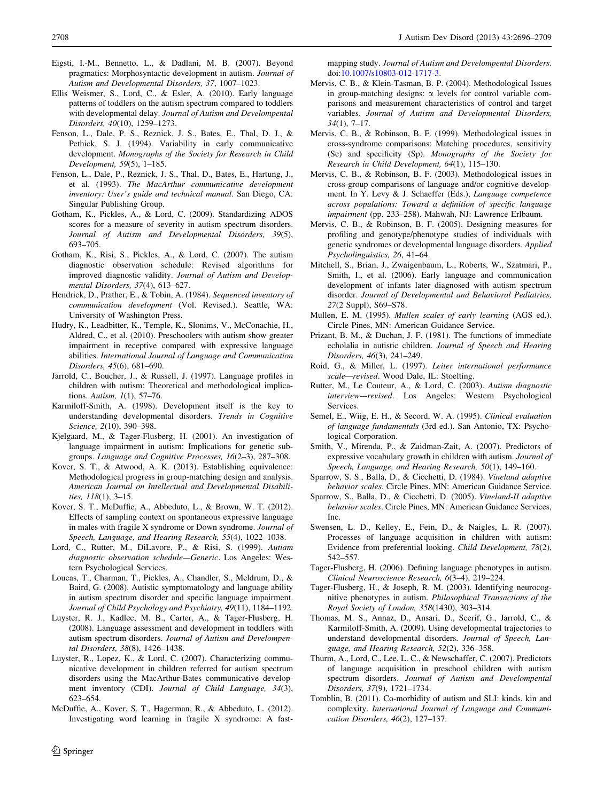- <span id="page-12-0"></span>Eigsti, I.-M., Bennetto, L., & Dadlani, M. B. (2007). Beyond pragmatics: Morphosyntactic development in autism. Journal of Autism and Developmental Disorders, 37, 1007–1023.
- Ellis Weismer, S., Lord, C., & Esler, A. (2010). Early language patterns of toddlers on the autism spectrum compared to toddlers with developmental delay. Journal of Autism and Develompental Disorders, 40(10), 1259–1273.
- Fenson, L., Dale, P. S., Reznick, J. S., Bates, E., Thal, D. J., & Pethick, S. J. (1994). Variability in early communicative development. Monographs of the Society for Research in Child Development, 59(5), 1–185.
- Fenson, L., Dale, P., Reznick, J. S., Thal, D., Bates, E., Hartung, J., et al. (1993). The MacArthur communicative development inventory: User's guide and technical manual. San Diego, CA: Singular Publishing Group.
- Gotham, K., Pickles, A., & Lord, C. (2009). Standardizing ADOS scores for a measure of severity in autism spectrum disorders. Journal of Autism and Developmental Disorders, 39(5), 693–705.
- Gotham, K., Risi, S., Pickles, A., & Lord, C. (2007). The autism diagnostic observation schedule: Revised algorithms for improved diagnostic validity. Journal of Autism and Developmental Disorders, 37(4), 613–627.
- Hendrick, D., Prather, E., & Tobin, A. (1984). Sequenced inventory of communication development (Vol. Revised.). Seattle, WA: University of Washington Press.
- Hudry, K., Leadbitter, K., Temple, K., Slonims, V., McConachie, H., Aldred, C., et al. (2010). Preschoolers with autism show greater impairment in receptive compared with expressive language abilities. International Journal of Language and Communication Disorders, 45(6), 681–690.
- Jarrold, C., Boucher, J., & Russell, J. (1997). Language profiles in children with autism: Theoretical and methodological implications. Autism, 1(1), 57–76.
- Karmiloff-Smith, A. (1998). Development itself is the key to understanding developmental disorders. Trends in Cognitive Science, 2(10), 390–398.
- Kjelgaard, M., & Tager-Flusberg, H. (2001). An investigation of language impairment in autism: Implications for genetic subgroups. Language and Cognitive Processes, 16(2–3), 287–308.
- Kover, S. T., & Atwood, A. K. (2013). Establishing equivalence: Methodological progress in group-matching design and analysis. American Journal on Intellectual and Developmental Disabilities, 118(1), 3–15.
- Kover, S. T., McDuffie, A., Abbeduto, L., & Brown, W. T. (2012). Effects of sampling context on spontaneous expressive language in males with fragile X syndrome or Down syndrome. Journal of Speech, Language, and Hearing Research, 55(4), 1022–1038.
- Lord, C., Rutter, M., DiLavore, P., & Risi, S. (1999). Autiam diagnostic observation schedule—Generic. Los Angeles: Western Psychological Services.
- Loucas, T., Charman, T., Pickles, A., Chandler, S., Meldrum, D., & Baird, G. (2008). Autistic symptomatology and language ability in autism spectrum disorder and specific language impairment. Journal of Child Psychology and Psychiatry, 49(11), 1184–1192.
- Luyster, R. J., Kadlec, M. B., Carter, A., & Tager-Flusberg, H. (2008). Language assessment and development in toddlers with autism spectrum disorders. Journal of Autism and Develompental Disorders, 38(8), 1426–1438.
- Luyster, R., Lopez, K., & Lord, C. (2007). Characterizing communicative development in children referred for autism spectrum disorders using the MacArthur-Bates communicative development inventory (CDI). Journal of Child Language, 34(3), 623–654.
- McDuffie, A., Kover, S. T., Hagerman, R., & Abbeduto, L. (2012). Investigating word learning in fragile X syndrome: A fast-

 $\textcircled{2}$  Springer

mapping study. Journal of Autism and Develompental Disorders. doi[:10.1007/s10803-012-1717-3](http://dx.doi.org/10.1007/s10803-012-1717-3).

- Mervis, C. B., & Klein-Tasman, B. P. (2004). Methodological Issues in group-matching designs:  $\alpha$  levels for control variable comparisons and measurement characteristics of control and target variables. Journal of Autism and Developmental Disorders, 34(1), 7–17.
- Mervis, C. B., & Robinson, B. F. (1999). Methodological issues in cross-syndrome comparisons: Matching procedures, sensitivity (Se) and specificity (Sp). Monographs of the Society for Research in Child Development, 64(1), 115–130.
- Mervis, C. B., & Robinson, B. F. (2003). Methodological issues in cross-group comparisons of language and/or cognitive development. In Y. Levy & J. Schaeffer (Eds.), Language competence across populations: Toward a definition of specific language impairment (pp. 233–258). Mahwah, NJ: Lawrence Erlbaum.
- Mervis, C. B., & Robinson, B. F. (2005). Designing measures for profiling and genotype/phenotype studies of individuals with genetic syndromes or developmental language disorders. Applied Psycholinguistics, 26, 41–64.
- Mitchell, S., Brian, J., Zwaigenbaum, L., Roberts, W., Szatmari, P., Smith, I., et al. (2006). Early language and communication development of infants later diagnosed with autism spectrum disorder. Journal of Developmental and Behavioral Pediatrics, 27(2 Suppl), S69–S78.
- Mullen, E. M. (1995). Mullen scales of early learning (AGS ed.). Circle Pines, MN: American Guidance Service.
- Prizant, B. M., & Duchan, J. F. (1981). The functions of immediate echolalia in autistic children. Journal of Speech and Hearing Disorders, 46(3), 241–249.
- Roid, G., & Miller, L. (1997). Leiter international performance scale—revised. Wood Dale, IL: Stoelting.
- Rutter, M., Le Couteur, A., & Lord, C. (2003). Autism diagnostic interview—revised. Los Angeles: Western Psychological Services.
- Semel, E., Wiig, E. H., & Secord, W. A. (1995). Clinical evaluation of language fundamentals (3rd ed.). San Antonio, TX: Psychological Corporation.
- Smith, V., Mirenda, P., & Zaidman-Zait, A. (2007). Predictors of expressive vocabulary growth in children with autism. Journal of Speech, Language, and Hearing Research, 50(1), 149–160.
- Sparrow, S. S., Balla, D., & Cicchetti, D. (1984). Vineland adaptive behavior scales. Circle Pines, MN: American Guidance Service.
- Sparrow, S., Balla, D., & Cicchetti, D. (2005). Vineland-II adaptive behavior scales. Circle Pines, MN: American Guidance Services, Inc.
- Swensen, L. D., Kelley, E., Fein, D., & Naigles, L. R. (2007). Processes of language acquisition in children with autism: Evidence from preferential looking. Child Development, 78(2), 542–557.
- Tager-Flusberg, H. (2006). Defining language phenotypes in autism. Clinical Neuroscience Research, 6(3–4), 219–224.
- Tager-Flusberg, H., & Joseph, R. M. (2003). Identifying neurocognitive phenotypes in autism. Philosophical Transactions of the Royal Society of London, 358(1430), 303–314.
- Thomas, M. S., Annaz, D., Ansari, D., Scerif, G., Jarrold, C., & Karmiloff-Smith, A. (2009). Using developmental trajectories to understand developmental disorders. Journal of Speech, Language, and Hearing Research, 52(2), 336–358.
- Thurm, A., Lord, C., Lee, L. C., & Newschaffer, C. (2007). Predictors of language acquisition in preschool children with autism spectrum disorders. Journal of Autism and Develompental Disorders, 37(9), 1721–1734.
- Tomblin, B. (2011). Co-morbidity of autism and SLI: kinds, kin and complexity. International Journal of Language and Communication Disorders, 46(2), 127–137.